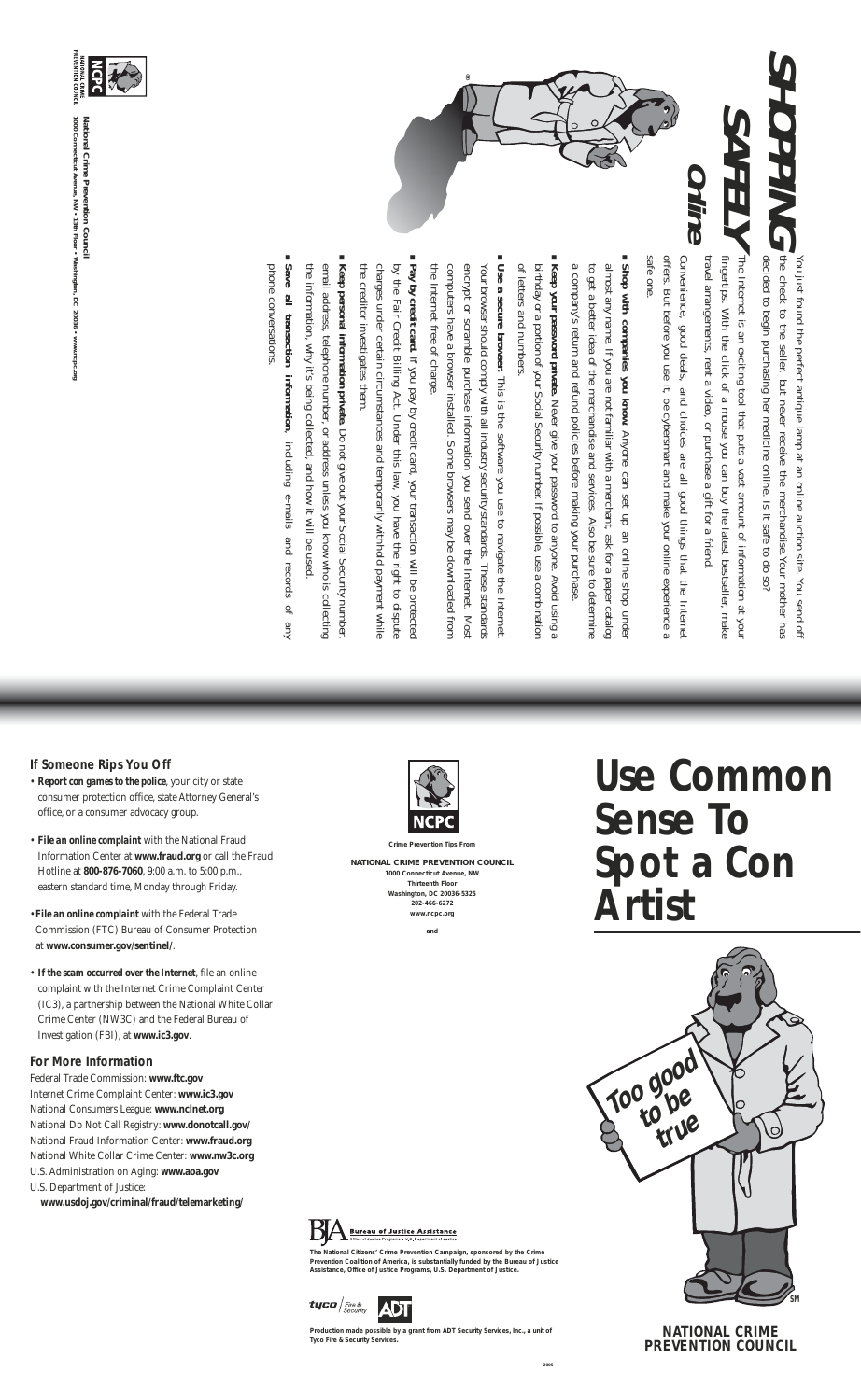# **If Someone Rips You Off**

- *Report con games to the police*, your city or state consumer protection office, state Attorney General's office, or a consumer advocacy group.
- *File an online complaint* with the National Fraud Information Center at **www.fraud.org** or call the Fraud Hotline at **800-876-7060**, 9:00 a.m. to 5:00 p.m., eastern standard time, Monday through Friday.
- *File an online complaint* with the Federal Trade Commission (FTC) Bureau of Consumer Protection at **www.consumer.gov/sentinel/**.
- *If the scam occurred over the Internet*, file an online complaint with the Internet Crime Complaint Center (IC3), a partnership between the National White Collar Crime Center (NW3C) and the Federal Bureau of Investigation (FBI), at **www.ic3.gov**.

#### **For More Information**

Federal Trade Commission: **www.ftc.gov** Internet Crime Complaint Center: **www.ic3.gov**  National Consumers League: **www.nclnet.org** National Do Not Call Registry: **www.donotcall.gov/**  National Fraud Information Center: **www.fraud.org** National White Collar Crime Center: **www.nw3c.org** U.S. Administration on Aging: **www.aoa.gov** U.S. Department of Justice:

**www.usdoj.gov/criminal/fraud/telemarketing/**



*Crime Prevention Tips From*

**NATIONAL CRIME PREVENTION COUNCIL 1000 Connecticut Avenue, NW Thirteenth Floor Washington, DC 20036-5325 202-466-6272 www.ncpc.org**

*and*

# **Use Common Sense To Spot a Con Artist**





**The National Citizens' Crime Prevention Campaign, sponsored by the Crime Prevention Coalition of America, is substantially funded by the Bureau of Justice Assistance, Office of Justice Programs, U.S. Department of Justice.**



**Production made possible by a grant from ADT Security Services, Inc., a unit of Tyco Fire & Security Services.**

# **NATIONAL CRIME PREVENTION COUNCIL**